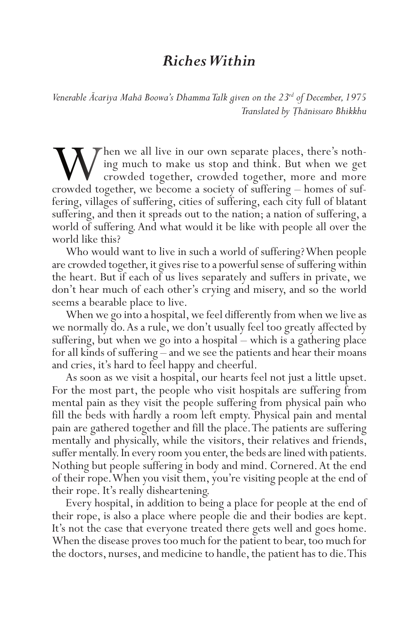## *Riches Within*

*Venerable Ācariya Mahā Boowa's Dhamma Talk given on the 23rd of December, 1975 Translated by Ṭhānissaro Bhikkhu*

When we all live in our own separate places, there's noth-<br>ing much to make us stop and think. But when we get<br>crowded together, crowded together, more and more<br>crowded together, we become a society of suffering – homes of ing much to make us stop and think. But when we get crowded together, crowded together, more and more fering, villages of suffering, cities of suffering, each city full of blatant suffering, and then it spreads out to the nation; a nation of suffering, a world of suffering. And what would it be like with people all over the world like this?

Who would want to live in such a world of suffering? When people are crowded together, it gives rise to a powerful sense of suffering within the heart. But if each of us lives separately and suffers in private, we don't hear much of each other's crying and misery, and so the world seems a bearable place to live.

When we go into a hospital, we feel differently from when we live as we normally do. As a rule, we don't usually feel too greatly affected by suffering, but when we go into a hospital – which is a gathering place for all kinds of suffering – and we see the patients and hear their moans and cries, it's hard to feel happy and cheerful.

As soon as we visit a hospital, our hearts feel not just a little upset. For the most part, the people who visit hospitals are suffering from mental pain as they visit the people suffering from physical pain who fill the beds with hardly a room left empty. Physical pain and mental pain are gathered together and fill the place. The patients are suffering mentally and physically, while the visitors, their relatives and friends, suffer mentally. In every room you enter, the beds are lined with patients. Nothing but people suffering in body and mind. Cornered. At the end of their rope. When you visit them, you're visiting people at the end of their rope. It's really disheartening.

Every hospital, in addition to being a place for people at the end of their rope, is also a place where people die and their bodies are kept. It's not the case that everyone treated there gets well and goes home. When the disease proves too much for the patient to bear, too much for the doctors, nurses, and medicine to handle, the patient has to die. This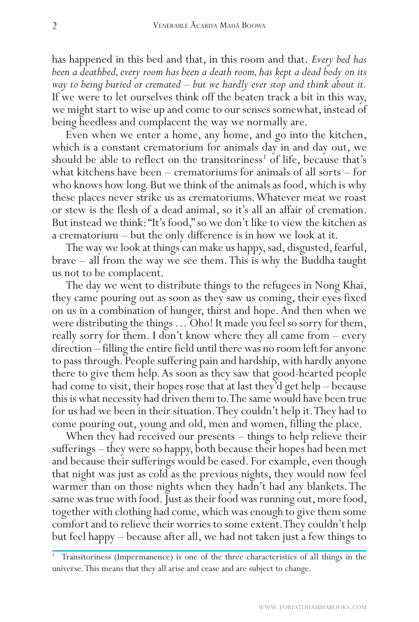has happened in this bed and that, in this room and that. *Every bed has been a deathbed, every room has been a death room, has kept a dead body on its way to being buried or cremated – but we hardly ever stop and think about it.* If we were to let ourselves think off the beaten track a bit in this way, we might start to wise up and come to our senses somewhat, instead of being heedless and complacent the way we normally are.

Even when we enter a home, any home, and go into the kitchen, which is a constant crematorium for animals day in and day out, we should be able to reflect on the transitoriness<sup>1</sup> of life, because that's what kitchens have been – crematoriums for animals of all sorts – for who knows how long. But we think of the animals as food, which is why these places never strike us as crematoriums. Whatever meat we roast or stew is the flesh of a dead animal, so it's all an affair of cremation. But instead we think: "It's food," so we don't like to view the kitchen as a crematorium – but the only difference is in how we look at it.

The way we look at things can make us happy, sad, disgusted, fearful, brave – all from the way we see them. This is why the Buddha taught us not to be complacent.

The day we went to distribute things to the refugees in Nong Khai, they came pouring out as soon as they saw us coming, their eyes fixed on us in a combination of hunger, thirst and hope. And then when we were distributing the things … Oho! It made you feel so sorry for them, really sorry for them. I don't know where they all came from – every direction – filling the entire field until there was no room left for anyone to pass through. People suffering pain and hardship, with hardly anyone there to give them help. As soon as they saw that good-hearted people had come to visit, their hopes rose that at last they'd get help – because this is what necessity had driven them to. The same would have been true for us had we been in their situation. They couldn't help it. They had to come pouring out, young and old, men and women, filling the place.

When they had received our presents – things to help relieve their sufferings – they were so happy, both because their hopes had been met and because their sufferings would be eased. For example, even though that night was just as cold as the previous nights, they would now feel warmer than on those nights when they hadn't had any blankets. The same was true with food. Just as their food was running out, more food, together with clothing had come, which was enough to give them some comfort and to relieve their worries to some extent. They couldn't help but feel happy – because after all, we had not taken just a few things to

<sup>1</sup> Transitoriness (Impermanence) is one of the three characteristics of all things in the universe. This means that they all arise and cease and are subject to change.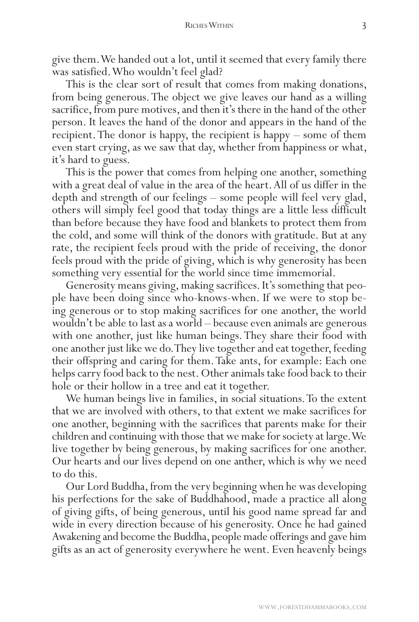give them. We handed out a lot, until it seemed that every family there was satisfied. Who wouldn't feel glad?

This is the clear sort of result that comes from making donations, from being generous. The object we give leaves our hand as a willing sacrifice, from pure motives, and then it's there in the hand of the other person. It leaves the hand of the donor and appears in the hand of the recipient. The donor is happy, the recipient is happy – some of them even start crying, as we saw that day, whether from happiness or what, it's hard to guess.

This is the power that comes from helping one another, something with a great deal of value in the area of the heart. All of us differ in the depth and strength of our feelings – some people will feel very glad, others will simply feel good that today things are a little less difficult than before because they have food and blankets to protect them from the cold, and some will think of the donors with gratitude. But at any rate, the recipient feels proud with the pride of receiving, the donor feels proud with the pride of giving, which is why generosity has been something very essential for the world since time immemorial.

Generosity means giving, making sacrifices. It's something that people have been doing since who-knows-when. If we were to stop being generous or to stop making sacrifices for one another, the world wouldn't be able to last as a world – because even animals are generous with one another, just like human beings. They share their food with one another just like we do. They live together and eat together, feeding their offspring and caring for them. Take ants, for example: Each one helps carry food back to the nest. Other animals take food back to their hole or their hollow in a tree and eat it together.

We human beings live in families, in social situations. To the extent that we are involved with others, to that extent we make sacrifices for one another, beginning with the sacrifices that parents make for their children and continuing with those that we make for society at large. We live together by being generous, by making sacrifices for one another. Our hearts and our lives depend on one anther, which is why we need to do this.

Our Lord Buddha, from the very beginning when he was developing his perfections for the sake of Buddhahood, made a practice all along of giving gifts, of being generous, until his good name spread far and wide in every direction because of his generosity. Once he had gained Awakening and become the Buddha, people made offerings and gave him gifts as an act of generosity everywhere he went. Even heavenly beings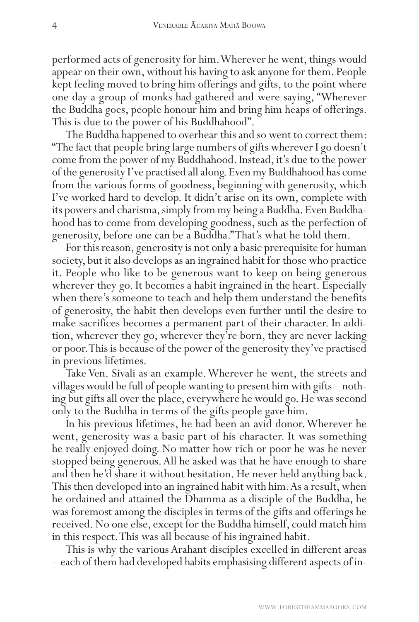performed acts of generosity for him. Wherever he went, things would appear on their own, without his having to ask anyone for them. People kept feeling moved to bring him offerings and gifts, to the point where one day a group of monks had gathered and were saying, "Wherever the Buddha goes, people honour him and bring him heaps of offerings. This is due to the power of his Buddhahood".

The Buddha happened to overhear this and so went to correct them: "The fact that people bring large numbers of gifts wherever I go doesn't come from the power of my Buddhahood. Instead, it's due to the power of the generosity I've practised all along. Even my Buddhahood has come from the various forms of goodness, beginning with generosity, which I've worked hard to develop. It didn't arise on its own, complete with its powers and charisma, simply from my being a Buddha. Even Buddhahood has to come from developing goodness, such as the perfection of generosity, before one can be a Buddha." That's what he told them.

For this reason, generosity is not only a basic prerequisite for human society, but it also develops as an ingrained habit for those who practice it. People who like to be generous want to keep on being generous wherever they go. It becomes a habit ingrained in the heart. Especially when there's someone to teach and help them understand the benefits of generosity, the habit then develops even further until the desire to make sacrifices becomes a permanent part of their character. In addition, wherever they go, wherever they're born, they are never lacking or poor. This is because of the power of the generosity they've practised in previous lifetimes.

Take Ven. Sivali as an example. Wherever he went, the streets and villages would be full of people wanting to present him with gifts – nothing but gifts all over the place, everywhere he would go. He was second only to the Buddha in terms of the gifts people gave him.

In his previous lifetimes, he had been an avid donor. Wherever he went, generosity was a basic part of his character. It was something he really enjoyed doing. No matter how rich or poor he was he never stopped being generous. All he asked was that he have enough to share and then he'd share it without hesitation. He never held anything back. This then developed into an ingrained habit with him. As a result, when he ordained and attained the Dhamma as a disciple of the Buddha, he was foremost among the disciples in terms of the gifts and offerings he received. No one else, except for the Buddha himself, could match him in this respect. This was all because of his ingrained habit.

This is why the various Arahant disciples excelled in different areas – each of them had developed habits emphasising different aspects of in-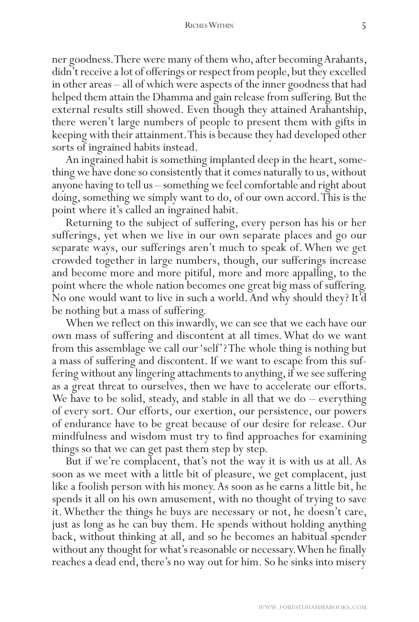## RICHES WITHIN 5

ner goodness. There were many of them who, after becoming Arahants, didn't receive a lot of offerings or respect from people, but they excelled in other areas – all of which were aspects of the inner goodness that had helped them attain the Dhamma and gain release from suffering. But the external results still showed. Even though they attained Arahantship, there weren't large numbers of people to present them with gifts in keeping with their attainment. This is because they had developed other sorts of ingrained habits instead.

An ingrained habit is something implanted deep in the heart, something we have done so consistently that it comes naturally to us, without anyone having to tell us – something we feel comfortable and right about doing, something we simply want to do, of our own accord. This is the point where it's called an ingrained habit.

Returning to the subject of suffering, every person has his or her sufferings, yet when we live in our own separate places and go our separate ways, our sufferings aren't much to speak of. When we get crowded together in large numbers, though, our sufferings increase and become more and more pitiful, more and more appalling, to the point where the whole nation becomes one great big mass of suffering. No one would want to live in such a world. And why should they? It'd be nothing but a mass of suffering.

When we reflect on this inwardly, we can see that we each have our own mass of suffering and discontent at all times. What do we want from this assemblage we call our 'self'? The whole thing is nothing but a mass of suffering and discontent. If we want to escape from this suffering without any lingering attachments to anything, if we see suffering as a great threat to ourselves, then we have to accelerate our efforts. We have to be solid, steady, and stable in all that we do – everything of every sort. Our efforts, our exertion, our persistence, our powers of endurance have to be great because of our desire for release. Our mindfulness and wisdom must try to find approaches for examining things so that we can get past them step by step.

But if we're complacent, that's not the way it is with us at all. As soon as we meet with a little bit of pleasure, we get complacent, just like a foolish person with his money. As soon as he earns a little bit, he spends it all on his own amusement, with no thought of trying to save it. Whether the things he buys are necessary or not, he doesn't care, just as long as he can buy them. He spends without holding anything back, without thinking at all, and so he becomes an habitual spender without any thought for what's reasonable or necessary. When he finally reaches a dead end, there's no way out for him. So he sinks into misery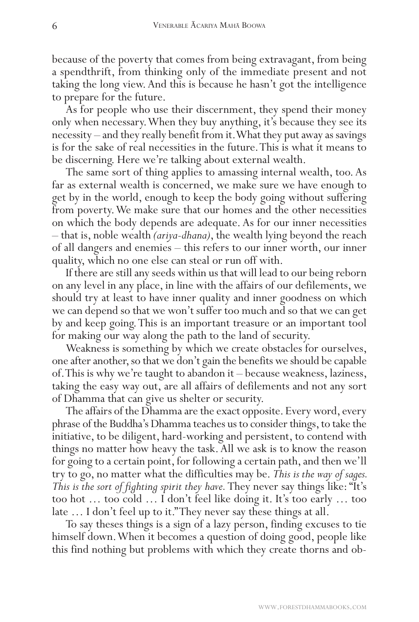because of the poverty that comes from being extravagant, from being a spendthrift, from thinking only of the immediate present and not taking the long view. And this is because he hasn't got the intelligence to prepare for the future.

As for people who use their discernment, they spend their money only when necessary. When they buy anything, it's because they see its necessity – and they really benefit from it. What they put away as savings is for the sake of real necessities in the future. This is what it means to be discerning. Here we're talking about external wealth.

The same sort of thing applies to amassing internal wealth, too. As far as external wealth is concerned, we make sure we have enough to get by in the world, enough to keep the body going without suffering from poverty. We make sure that our homes and the other necessities on which the body depends are adequate. As for our inner necessities – that is, noble wealth *(ariya-dhana)*, the wealth lying beyond the reach of all dangers and enemies – this refers to our inner worth, our inner quality, which no one else can steal or run off with.

If there are still any seeds within us that will lead to our being reborn on any level in any place, in line with the affairs of our defilements, we should try at least to have inner quality and inner goodness on which we can depend so that we won't suffer too much and so that we can get by and keep going. This is an important treasure or an important tool for making our way along the path to the land of security.

Weakness is something by which we create obstacles for ourselves, one after another, so that we don't gain the benefits we should be capable of. This is why we're taught to abandon it – because weakness, laziness, taking the easy way out, are all affairs of defilements and not any sort of Dhamma that can give us shelter or security.

The affairs of the Dhamma are the exact opposite. Every word, every phrase of the Buddha's Dhamma teaches us to consider things, to take the initiative, to be diligent, hard-working and persistent, to contend with things no matter how heavy the task. All we ask is to know the reason for going to a certain point, for following a certain path, and then we'll try to go, no matter what the difficulties may be. *This is the way of sages. This is the sort of fighting spirit they have.* They never say things like: "It's too hot … too cold … I don't feel like doing it. It's too early … too late … I don't feel up to it." They never say these things at all.

To say theses things is a sign of a lazy person, finding excuses to tie himself down. When it becomes a question of doing good, people like this find nothing but problems with which they create thorns and ob-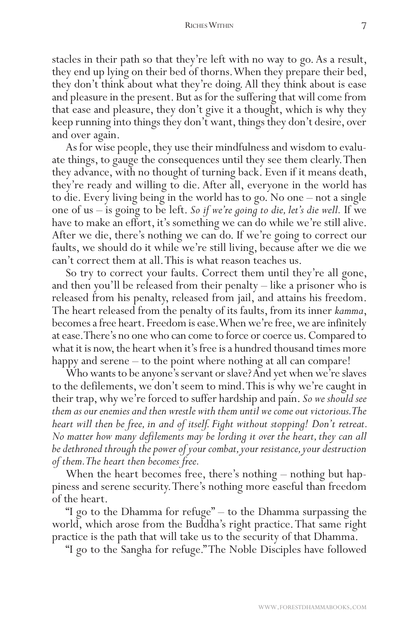## RICHES WITHIN 7

stacles in their path so that they're left with no way to go. As a result, they end up lying on their bed of thorns. When they prepare their bed, they don't think about what they're doing. All they think about is ease and pleasure in the present. But as for the suffering that will come from that ease and pleasure, they don't give it a thought, which is why they keep running into things they don't want, things they don't desire, over and over again.

As for wise people, they use their mindfulness and wisdom to evaluate things, to gauge the consequences until they see them clearly. Then they advance, with no thought of turning back. Even if it means death, they're ready and willing to die. After all, everyone in the world has to die. Every living being in the world has to go. No one – not a single one of us – is going to be left. *So if we're going to die, let's die well.* If we have to make an effort, it's something we can do while we're still alive. After we die, there's nothing we can do. If we're going to correct our faults, we should do it while we're still living, because after we die we can't correct them at all. This is what reason teaches us.

So try to correct your faults. Correct them until they're all gone, and then you'll be released from their penalty – like a prisoner who is released from his penalty, released from jail, and attains his freedom. The heart released from the penalty of its faults, from its inner *kamma*, becomes a free heart. Freedom is ease. When we're free, we are infinitely at ease. There's no one who can come to force or coerce us. Compared to what it is now, the heart when it's free is a hundred thousand times more happy and serene – to the point where nothing at all can compare!

Who wants to be anyone's servant or slave? And yet when we're slaves to the defilements, we don't seem to mind. This is why we're caught in their trap, why we're forced to suffer hardship and pain. *So we should see them as our enemies and then wrestle with them until we come out victorious. The heart will then be free, in and of itself. Fight without stopping! Don't retreat. No matter how many defilements may be lording it over the heart, they can all be dethroned through the power of your combat, your resistance, your destruction of them. The heart then becomes free.*

When the heart becomes free, there's nothing – nothing but happiness and serene security. There's nothing more easeful than freedom of the heart.

"I go to the Dhamma for refuge" – to the Dhamma surpassing the world, which arose from the Buddha's right practice. That same right practice is the path that will take us to the security of that Dhamma.

"I go to the Sangha for refuge." The Noble Disciples have followed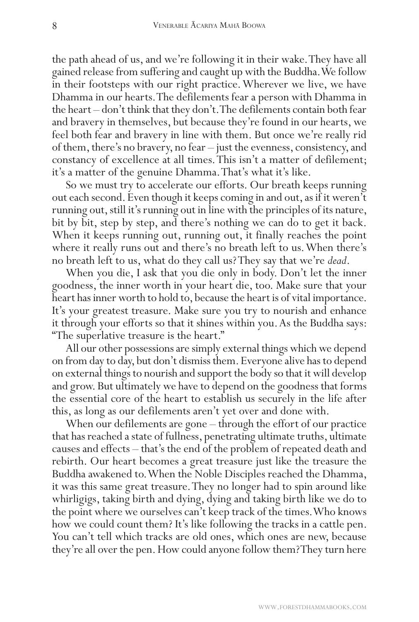the path ahead of us, and we're following it in their wake. They have all gained release from suffering and caught up with the Buddha. We follow in their footsteps with our right practice. Wherever we live, we have Dhamma in our hearts. The defilements fear a person with Dhamma in the heart – don't think that they don't. The defilements contain both fear and bravery in themselves, but because they're found in our hearts, we feel both fear and bravery in line with them. But once we're really rid of them, there's no bravery, no fear – just the evenness, consistency, and constancy of excellence at all times. This isn't a matter of defilement; it's a matter of the genuine Dhamma. That's what it's like.

So we must try to accelerate our efforts. Our breath keeps running out each second. Even though it keeps coming in and out, as if it weren't running out, still it's running out in line with the principles of its nature, bit by bit, step by step, and there's nothing we can do to get it back. When it keeps running out, running out, it finally reaches the point where it really runs out and there's no breath left to us. When there's no breath left to us, what do they call us? They say that we're *dead*.

When you die, I ask that you die only in body. Don't let the inner goodness, the inner worth in your heart die, too. Make sure that your heart has inner worth to hold to, because the heart is of vital importance. It's your greatest treasure. Make sure you try to nourish and enhance it through your efforts so that it shines within you. As the Buddha says: "The superlative treasure is the heart."

All our other possessions are simply external things which we depend on from day to day, but don't dismiss them. Everyone alive has to depend on external things to nourish and support the body so that it will develop and grow. But ultimately we have to depend on the goodness that forms the essential core of the heart to establish us securely in the life after this, as long as our defilements aren't yet over and done with.

When our defilements are gone – through the effort of our practice that has reached a state of fullness, penetrating ultimate truths, ultimate causes and effects – that's the end of the problem of repeated death and rebirth. Our heart becomes a great treasure just like the treasure the Buddha awakened to. When the Noble Disciples reached the Dhamma, it was this same great treasure. They no longer had to spin around like whirligigs, taking birth and dying, dying and taking birth like we do to the point where we ourselves can't keep track of the times. Who knows how we could count them? It's like following the tracks in a cattle pen. You can't tell which tracks are old ones, which ones are new, because they're all over the pen. How could anyone follow them? They turn here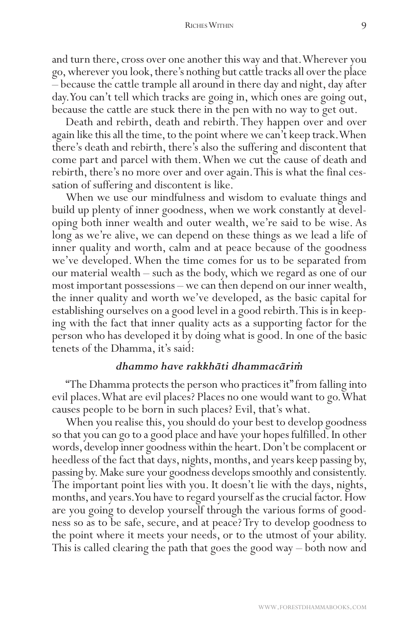and turn there, cross over one another this way and that. Wherever you go, wherever you look, there's nothing but cattle tracks all over the place – because the cattle trample all around in there day and night, day after day. You can't tell which tracks are going in, which ones are going out, because the cattle are stuck there in the pen with no way to get out.

Death and rebirth, death and rebirth. They happen over and over again like this all the time, to the point where we can't keep track. When there's death and rebirth, there's also the suffering and discontent that come part and parcel with them. When we cut the cause of death and rebirth, there's no more over and over again. This is what the final cessation of suffering and discontent is like.

When we use our mindfulness and wisdom to evaluate things and build up plenty of inner goodness, when we work constantly at developing both inner wealth and outer wealth, we're said to be wise. As long as we're alive, we can depend on these things as we lead a life of inner quality and worth, calm and at peace because of the goodness we've developed. When the time comes for us to be separated from our material wealth – such as the body, which we regard as one of our most important possessions – we can then depend on our inner wealth, the inner quality and worth we've developed, as the basic capital for establishing ourselves on a good level in a good rebirth. This is in keeping with the fact that inner quality acts as a supporting factor for the person who has developed it by doing what is good. In one of the basic tenets of the Dhamma, it's said:

## *dhammo have rakkhāti dhammacāriṁ*

"The Dhamma protects the person who practices it" from falling into evil places. What are evil places? Places no one would want to go. What causes people to be born in such places? Evil, that's what.

When you realise this, you should do your best to develop goodness so that you can go to a good place and have your hopes fulfilled. In other words, develop inner goodness within the heart. Don't be complacent or heedless of the fact that days, nights, months, and years keep passing by, passing by. Make sure your goodness develops smoothly and consistently. The important point lies with you. It doesn't lie with the days, nights, months, and years. You have to regard yourself as the crucial factor. How are you going to develop yourself through the various forms of goodness so as to be safe, secure, and at peace? Try to develop goodness to the point where it meets your needs, or to the utmost of your ability. This is called clearing the path that goes the good way – both now and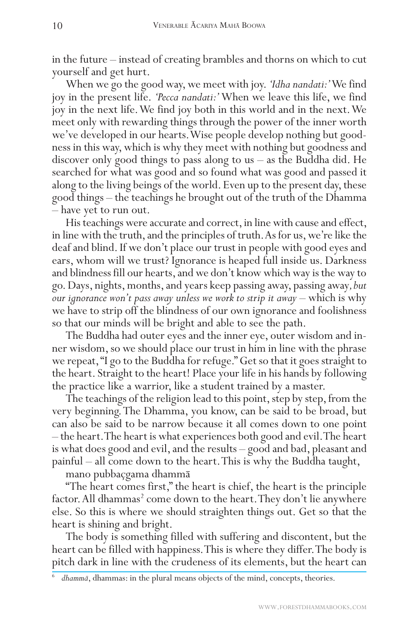in the future – instead of creating brambles and thorns on which to cut yourself and get hurt.

When we go the good way, we meet with joy. *'Idha nandati:'* We find joy in the present life. *'Pecca nandati:'* When we leave this life, we find joy in the next life. We find joy both in this world and in the next. We meet only with rewarding things through the power of the inner worth we've developed in our hearts. Wise people develop nothing but goodness in this way, which is why they meet with nothing but goodness and discover only good things to pass along to us – as the Buddha did. He searched for what was good and so found what was good and passed it along to the living beings of the world. Even up to the present day, these good things – the teachings he brought out of the truth of the Dhamma – have yet to run out.

His teachings were accurate and correct, in line with cause and effect, in line with the truth, and the principles of truth. As for us, we're like the deaf and blind. If we don't place our trust in people with good eyes and ears, whom will we trust? Ignorance is heaped full inside us. Darkness and blindness fill our hearts, and we don't know which way is the way to go. Days, nights, months, and years keep passing away, passing away*, but our ignorance won't pass away unless we work to strip it away* – which is why we have to strip off the blindness of our own ignorance and foolishness so that our minds will be bright and able to see the path.

The Buddha had outer eyes and the inner eye, outer wisdom and inner wisdom, so we should place our trust in him in line with the phrase we repeat, "I go to the Buddha for refuge." Get so that it goes straight to the heart. Straight to the heart! Place your life in his hands by following the practice like a warrior, like a student trained by a master.

The teachings of the religion lead to this point, step by step, from the very beginning. The Dhamma, you know, can be said to be broad, but can also be said to be narrow because it all comes down to one point – the heart. The heart is what experiences both good and evil. The heart is what does good and evil, and the results – good and bad, pleasant and painful – all come down to the heart. This is why the Buddha taught,

mano pubbaçgama dhammā

"The heart comes first," the heart is chief, the heart is the principle factor. All dhammas<sup>2</sup> come down to the heart. They don't lie anywhere else. So this is where we should straighten things out. Get so that the heart is shining and bright.

The body is something filled with suffering and discontent, but the heart can be filled with happiness. This is where they differ. The body is pitch dark in line with the crudeness of its elements, but the heart can

dhammā, dhammas: in the plural means objects of the mind, concepts, theories.